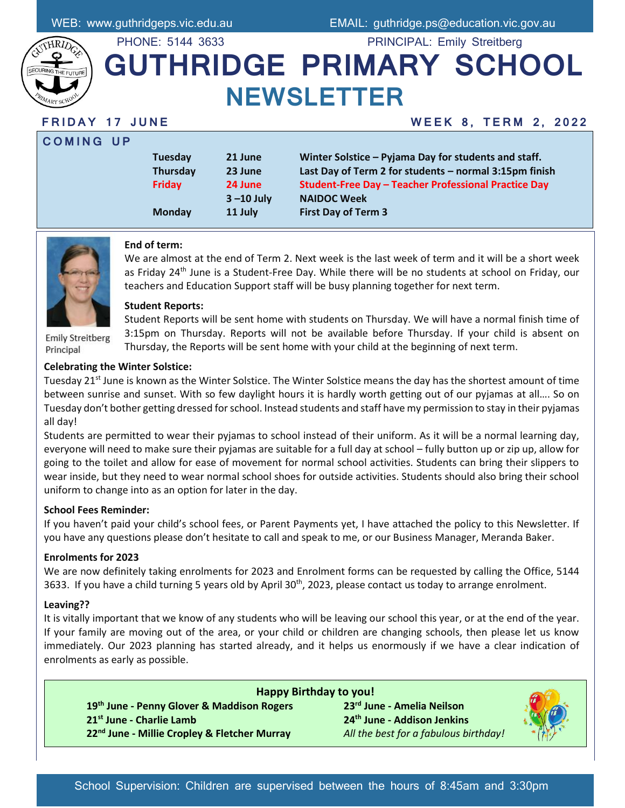

# PHONE: 5144 3633 PRINCIPAL: Emily Streitberg **GUTHRIDGE PRIMARY SCHOOL NEWSLETTER**

**C O M I N G U P**

### **F R I D A Y 1 7 J U N E W E E K 8 , T E R M 2 , 2 0 2 2**

| <b>Tuesday</b> | 21 June       | Winter Solstice - Pyjama Day for students and staff.        |  |
|----------------|---------------|-------------------------------------------------------------|--|
| Thursday       | 23 June       | Last Day of Term 2 for students - normal 3:15pm finish      |  |
| <b>Friday</b>  | 24 June       | <b>Student-Free Day - Teacher Professional Practice Day</b> |  |
|                | $3 - 10$ July | <b>NAIDOC Week</b>                                          |  |
| <b>Monday</b>  | 11 July       | <b>First Day of Term 3</b>                                  |  |



### **End of term:**

We are almost at the end of Term 2. Next week is the last week of term and it will be a short week as Friday 24<sup>th</sup> June is a Student-Free Day. While there will be no students at school on Friday, our teachers and Education Support staff will be busy planning together for next term.

#### **Student Reports:**

**Emily Streitberg** Principal

Student Reports will be sent home with students on Thursday. We will have a normal finish time of 3:15pm on Thursday. Reports will not be available before Thursday. If your child is absent on Thursday, the Reports will be sent home with your child at the beginning of next term.

### **Celebrating the Winter Solstice:**

Tuesday 21<sup>st</sup> June is known as the Winter Solstice. The Winter Solstice means the day has the shortest amount of time between sunrise and sunset. With so few daylight hours it is hardly worth getting out of our pyjamas at all…. So on Tuesday don't bother getting dressed for school. Instead students and staff have my permission to stay in their pyjamas all day!

Students are permitted to wear their pyjamas to school instead of their uniform. As it will be a normal learning day, everyone will need to make sure their pyjamas are suitable for a full day at school – fully button up or zip up, allow for going to the toilet and allow for ease of movement for normal school activities. Students can bring their slippers to wear inside, but they need to wear normal school shoes for outside activities. Students should also bring their school uniform to change into as an option for later in the day.

### **School Fees Reminder:**

If you haven't paid your child's school fees, or Parent Payments yet, I have attached the policy to this Newsletter. If you have any questions please don't hesitate to call and speak to me, or our Business Manager, Meranda Baker.

### **Enrolments for 2023**

We are now definitely taking enrolments for 2023 and Enrolment forms can be requested by calling the Office, 5144 3633. If you have a child turning 5 years old by April 30<sup>th</sup>, 2023, please contact us today to arrange enrolment.

### **Leaving??**

It is vitally important that we know of any students who will be leaving our school this year, or at the end of the year. If your family are moving out of the area, or your child or children are changing schools, then please let us know immediately. Our 2023 planning has started already, and it helps us enormously if we have a clear indication of enrolments as early as possible.

**Happy Birthday to you! th June - Penny Glover & Maddison Rogers 23rd June - Amelia Neilson st June - Charlie Lamb 24th June - Addison Jenkins nd June - Millie Cropley & Fletcher Murray** *All the best for a fabulous birthday!*

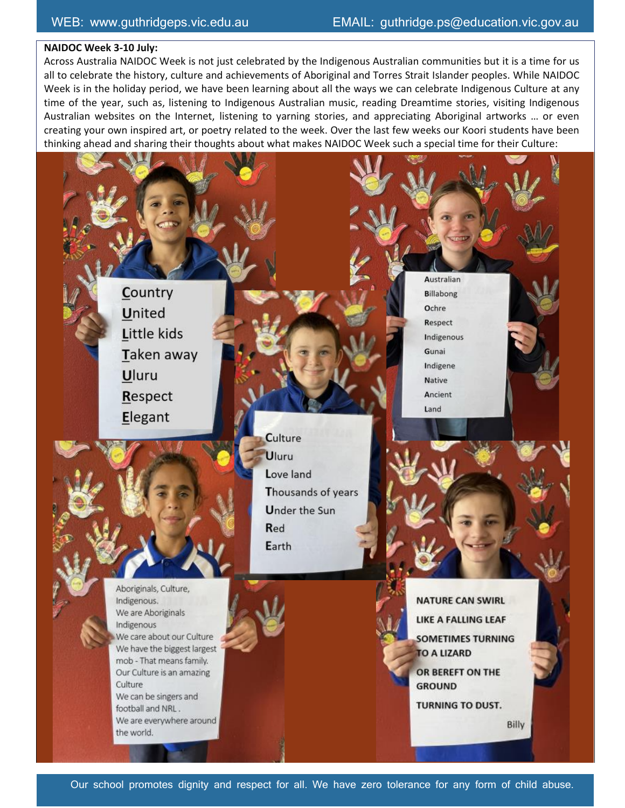#### **NAIDOC Week 3-10 July:**

Across Australia NAIDOC Week is not just celebrated by the Indigenous Australian communities but it is a time for us all to celebrate the history, culture and achievements of Aboriginal and Torres Strait Islander peoples. While NAIDOC Week is in the holiday period, we have been learning about all the ways we can celebrate Indigenous Culture at any time of the year, such as, listening to Indigenous Australian music, reading Dreamtime stories, visiting Indigenous Australian websites on the Internet, listening to yarning stories, and appreciating Aboriginal artworks … or even creating your own inspired art, or poetry related to the week. Over the last few weeks our Koori students have been thinking ahead and sharing their thoughts about what makes NAIDOC Week such a special time for their Culture:

> Country **United** Little kids Taken away Uluru Respect Elegant

> > Culture Uluru Love land Thousands of years **Under the Sun** Red Earth

Australian **Billabong** Ochre Respect Indigenous Gunai Indigene **Native** Ancient Land



Aboriginals, Culture, Indigenous. We are Aboriginals Indigenous We care about our Culture We have the biggest largest mob - That means family. Our Culture is an amazing Culture We can be singers and football and NRL. We are everywhere around the world.

**NATURE CAN SWIRL** LIKE A FALLING LEAF **SOMETIMES TURNING** TO A LIZARD OR BEREFT ON THE **GROUND TURNING TO DUST.** 

Billy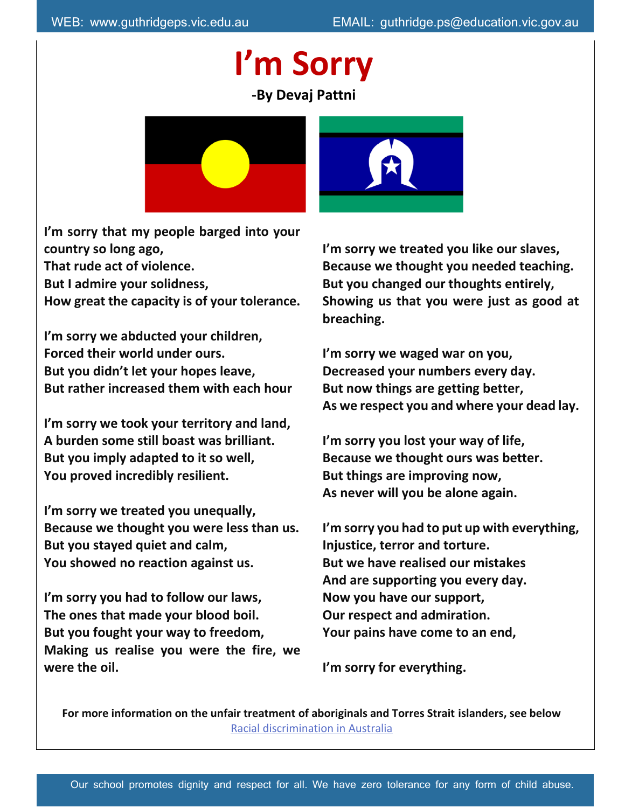# **I'm Sorry -By Devaj Pattni**



**I'm sorry that my people barged into your country so long ago, That rude act of violence. But I admire your solidness, How great the capacity is of your tolerance.**

**I'm sorry we abducted your children, Forced their world under ours. But you didn't let your hopes leave, But rather increased them with each hour**

**I'm sorry we took your territory and land, A burden some still boast was brilliant. But you imply adapted to it so well, You proved incredibly resilient.**

**I'm sorry we treated you unequally, Because we thought you were less than us. But you stayed quiet and calm, You showed no reaction against us.**

**I'm sorry you had to follow our laws, The ones that made your blood boil. But you fought your way to freedom, Making us realise you were the fire, we were the oil.**

**I'm sorry we treated you like our slaves, Because we thought you needed teaching. But you changed our thoughts entirely, Showing us that you were just as good at breaching.**

**I'm sorry we waged war on you, Decreased your numbers every day. But now things are getting better, As we respect you and where your dead lay.**

**I'm sorry you lost your way of life, Because we thought ours was better. But things are improving now, As never will you be alone again.**

**I'm sorry you had to put up with everything, Injustice, terror and torture. But we have realised our mistakes And are supporting you every day. Now you have our support, Our respect and admiration. Your pains have come to an end,**

**I'm sorry for everything.**

**For more information on the unfair treatment of aboriginals and Torres Strait islanders, see below** [Racial discrimination in Australia](https://www.creativespirits.info/aboriginalculture/people/racial-discrimination-in-australia)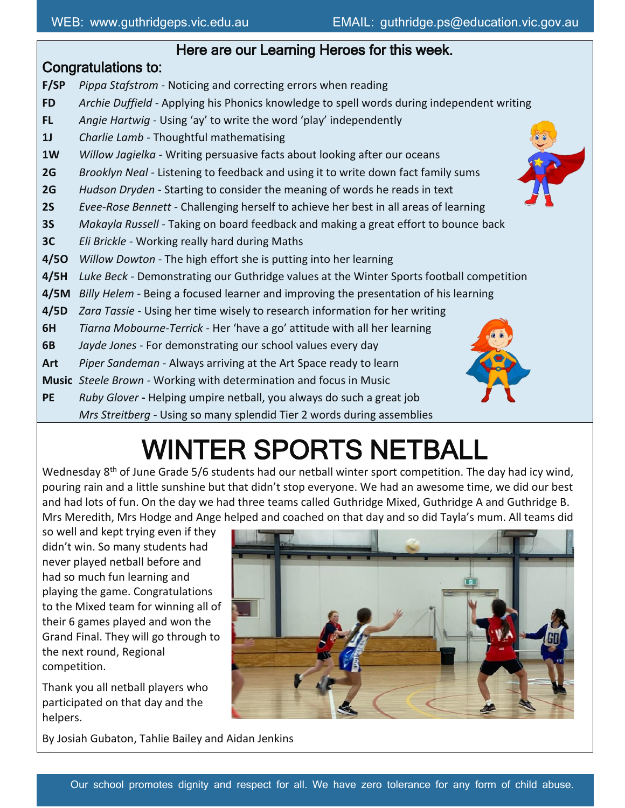### Here are our Learning Heroes for this week.

### Congratulations to:

- **F/SP** *Pippa Stafstrom -* Noticing and correcting errors when reading
- **FD** *Archie Duffield -* Applying his Phonics knowledge to spell words during independent writing
- **FL** *Angie Hartwig -* Using 'ay' to write the word 'play' independently
- **1J** *Charlie Lamb -* Thoughtful mathematising
- **1W** *Willow Jagielka -* Writing persuasive facts about looking after our oceans
- **2G** *Brooklyn Neal -* Listening to feedback and using it to write down fact family sums
- **2G** *Hudson Dryden -* Starting to consider the meaning of words he reads in text
- **2S** *Evee-Rose Bennett -* Challenging herself to achieve her best in all areas of learning
- **3S** *Makayla Russell -* Taking on board feedback and making a great effort to bounce back
- **3C** *Eli Brickle -* Working really hard during Maths
- **4/5O** *Willow Dowton -* The high effort she is putting into her learning
- **4/5H** *Luke Beck -* Demonstrating our Guthridge values at the Winter Sports football competition
- **4/5M** *Billy Helem -* Being a focused learner and improving the presentation of his learning
- **4/5D** *Zara Tassie -* Using her time wisely to research information for her writing
- **6H** *Tiarna Mobourne-Terrick -* Her 'have a go' attitude with all her learning
- **6B** *Jayde Jones -* For demonstrating our school values every day
- **Art** *Piper Sandeman* Always arriving at the Art Space ready to learn
- **Music** *Steele Brown -* Working with determination and focus in Music
- **PE** *Ruby Glover* **-** Helping umpire netball, you always do such a great job *Mrs Streitberg -* Using so many splendid Tier 2 words during assemblies



Wednesday  $8<sup>th</sup>$  of June Grade 5/6 students had our netball winter sport competition. The day had icy wind, pouring rain and a little sunshine but that didn't stop everyone. We had an awesome time, we did our best and had lots of fun. On the day we had three teams called Guthridge Mixed, Guthridge A and Guthridge B. Mrs Meredith, Mrs Hodge and Ange helped and coached on that day and so did Tayla's mum. All teams did

so well and kept trying even if they didn't win. So many students had never played netball before and had so much fun learning and playing the game. Congratulations to the Mixed team for winning all of their 6 games played and won the Grand Final. They will go through to the next round, Regional competition.

Thank you all netball players who participated on that day and the helpers.

By Josiah Gubaton, Tahlie Bailey and Aidan Jenkins







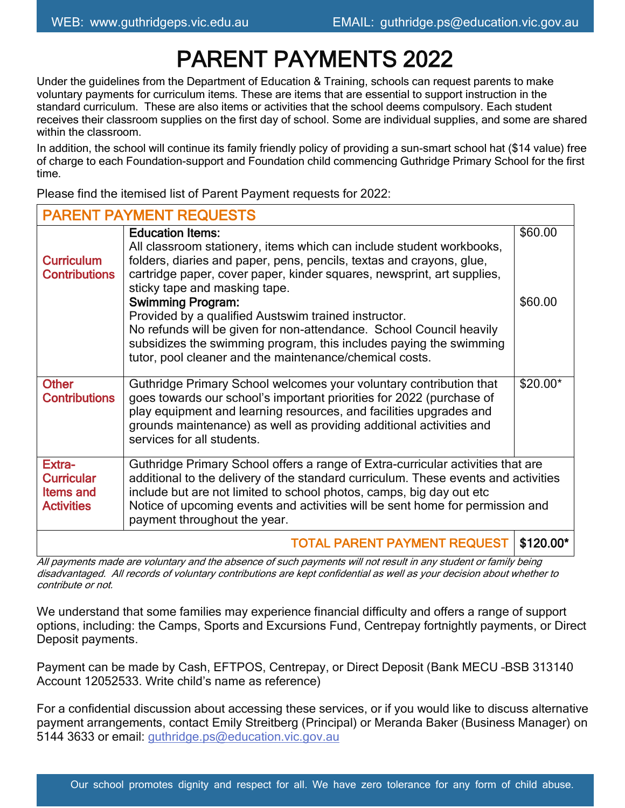# PARENT PAYMENTS 2022

Under the guidelines from the Department of Education & Training, schools can request parents to make voluntary payments for curriculum items. These are items that are essential to support instruction in the standard curriculum. These are also items or activities that the school deems compulsory. Each student receives their classroom supplies on the first day of school. Some are individual supplies, and some are shared within the classroom.

In addition, the school will continue its family friendly policy of providing a sun-smart school hat (\$14 value) free of charge to each Foundation-support and Foundation child commencing Guthridge Primary School for the first time.

Please find the itemised list of Parent Payment requests for 2022:

| <b>PARENT PAYMENT REQUESTS</b>                                       |                                                                                                                                                                                                                                                                                                                                                                |           |  |  |  |
|----------------------------------------------------------------------|----------------------------------------------------------------------------------------------------------------------------------------------------------------------------------------------------------------------------------------------------------------------------------------------------------------------------------------------------------------|-----------|--|--|--|
| <b>Curriculum</b><br><b>Contributions</b>                            | <b>Education Items:</b><br>All classroom stationery, items which can include student workbooks,<br>folders, diaries and paper, pens, pencils, textas and crayons, glue,<br>cartridge paper, cover paper, kinder squares, newsprint, art supplies,<br>sticky tape and masking tape.                                                                             | \$60.00   |  |  |  |
|                                                                      | <b>Swimming Program:</b><br>Provided by a qualified Austswim trained instructor.<br>No refunds will be given for non-attendance. School Council heavily<br>subsidizes the swimming program, this includes paying the swimming<br>tutor, pool cleaner and the maintenance/chemical costs.                                                                       | \$60.00   |  |  |  |
| <b>Other</b><br><b>Contributions</b>                                 | Guthridge Primary School welcomes your voluntary contribution that<br>goes towards our school's important priorities for 2022 (purchase of<br>play equipment and learning resources, and facilities upgrades and<br>grounds maintenance) as well as providing additional activities and<br>services for all students.                                          | $$20.00*$ |  |  |  |
| Extra-<br><b>Curricular</b><br><b>Items and</b><br><b>Activities</b> | Guthridge Primary School offers a range of Extra-curricular activities that are<br>additional to the delivery of the standard curriculum. These events and activities<br>include but are not limited to school photos, camps, big day out etc<br>Notice of upcoming events and activities will be sent home for permission and<br>payment throughout the year. |           |  |  |  |
| <b>TOTAL PARENT PAYMENT REQUEST</b><br>$$120.00*$                    |                                                                                                                                                                                                                                                                                                                                                                |           |  |  |  |

All payments made are voluntary and the absence of such payments will not result in any student or family being disadvantaged. All records of voluntary contributions are kept confidential as well as your decision about whether to contribute or not.

We understand that some families may experience financial difficulty and offers a range of support options, including: the Camps, Sports and Excursions Fund, Centrepay fortnightly payments, or Direct Deposit payments.

Payment can be made by Cash, EFTPOS, Centrepay, or Direct Deposit (Bank MECU –BSB 313140 Account 12052533. Write child's name as reference)

For a confidential discussion about accessing these services, or if you would like to discuss alternative payment arrangements, contact Emily Streitberg (Principal) or Meranda Baker (Business Manager) on 5144 3633 or email: [guthridge.ps@education.vic.gov.au](mailto:guthridge.ps@education.vic.gov.au)